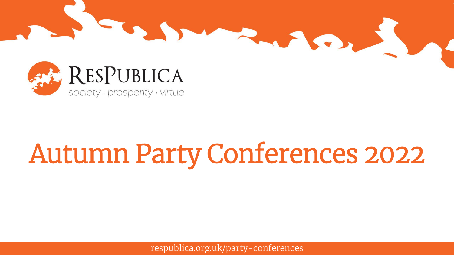



# Autumn Party Conferences 2022

[respublica.org.uk/party-conferences](http://www.respublica.org.uk/party-conferences/)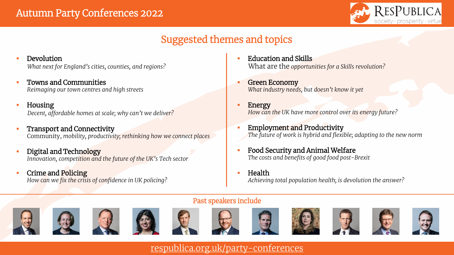

## Suggested themes and topics

- Devolution
	- *What next for England's cities, counties, and regions?*
- Towns and Communities *Reimaging our town centres and high streets*
- Housing

*Decent, affordable homes at scale; why can't we deliver?*

- Transport and Connectivity Community, *mobility, productivity; rethinking how we connect places*
- Digital and Technology *Innovation, competition and the future of the UK's Tech sector*
- Crime and Policing *How can we fix the crisis of confidence in UK policing?*
- Education and Skills What are the *opportunities for a Skills revolution?*
- Green Economy *What industry needs, but doesn't know it yet*
- **Energy** *How can the UK have more control over its energy future?*
- Employment and Productivity *The future of work is hybrid and flexible; adapting to the new norm*
- Food Security and Animal Welfare *The costs and benefits of good food post-Brexit*
- $\blacksquare$  Health *Achieving total population health; is devolution the answer?*

#### Past speakers include



















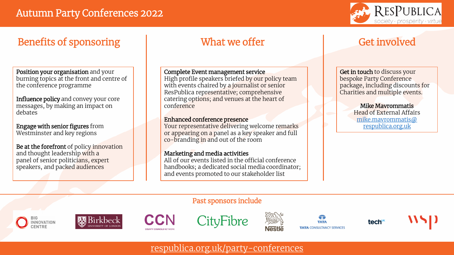

### Benefits of sponsoring Theorem What we offer Theorem Get involved

Position your organisation and your burning topics at the front and centre of the conference programme

Influence policy and convey your core messages, by making an impact on debates

Engage with senior figures from Westminster and key regions

Be at the forefront of policy innovation and thought leadership with a panel of senior politicians, expert speakers, and packed audiences

Complete Event management service

High profile speakers briefed by our policy team with events chaired by a journalist or senior ResPublica representative; comprehensive catering options; and venues at the heart of conference

#### Enhanced conference presence

Your representative delivering welcome remarks or appearing on a panel as a key speaker and full co-branding in and out of the room

#### Marketing and media activities

All of our events listed in the official conference handbooks; a dedicated social media coordinator; and events promoted to our stakeholder list

Get in touch to discuss your bespoke Party Conference package, including discounts for Charities and multiple events.

> Mike Mavrommatis Head of External Affairs [mike.mavrommatis@](mailto:mike.mavrommatis@respublica.org.uk) respublica.org.uk

#### Past sponsors include











**TATA TATA CONSULTANCY SERVICES** 





[respublica.org.uk/party-conferences](http://www.respublica.org.uk/party-conferences/)